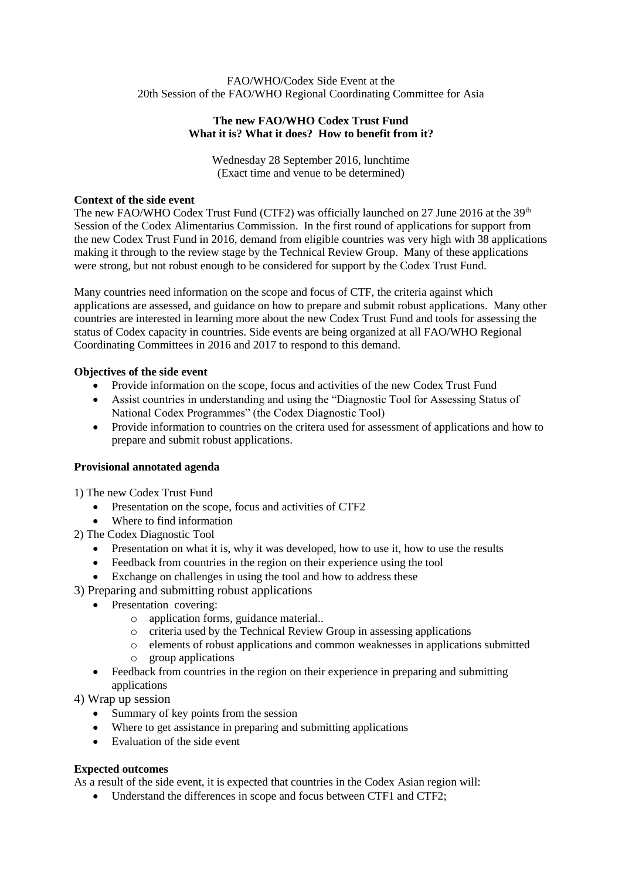### FAO/WHO/Codex Side Event at the 20th Session of the FAO/WHO Regional Coordinating Committee for Asia

# **The new FAO/WHO Codex Trust Fund What it is? What it does? How to benefit from it?**

Wednesday 28 September 2016, lunchtime (Exact time and venue to be determined)

### **Context of the side event**

The new FAO/WHO Codex Trust Fund (CTF2) was officially launched on 27 June 2016 at the  $39<sup>th</sup>$ Session of the Codex Alimentarius Commission. In the first round of applications for support from the new Codex Trust Fund in 2016, demand from eligible countries was very high with 38 applications making it through to the review stage by the Technical Review Group. Many of these applications were strong, but not robust enough to be considered for support by the Codex Trust Fund.

Many countries need information on the scope and focus of CTF, the criteria against which applications are assessed, and guidance on how to prepare and submit robust applications. Many other countries are interested in learning more about the new Codex Trust Fund and tools for assessing the status of Codex capacity in countries. Side events are being organized at all FAO/WHO Regional Coordinating Committees in 2016 and 2017 to respond to this demand.

## **Objectives of the side event**

- Provide information on the scope, focus and activities of the new Codex Trust Fund
- Assist countries in understanding and using the "Diagnostic Tool for Assessing Status of National Codex Programmes" (the Codex Diagnostic Tool)
- Provide information to countries on the critera used for assessment of applications and how to prepare and submit robust applications.

# **Provisional annotated agenda**

1) The new Codex Trust Fund

- Presentation on the scope, focus and activities of CTF2
- Where to find information
- 2) The Codex Diagnostic Tool
	- Presentation on what it is, why it was developed, how to use it, how to use the results
	- Feedback from countries in the region on their experience using the tool
	- Exchange on challenges in using the tool and how to address these
- 3) Preparing and submitting robust applications
	- Presentation covering:
		- o application forms, guidance material..
		- o criteria used by the Technical Review Group in assessing applications
		- o elements of robust applications and common weaknesses in applications submitted
		- o group applications
	- Feedback from countries in the region on their experience in preparing and submitting applications

4) Wrap up session

- Summary of key points from the session
- Where to get assistance in preparing and submitting applications
- Evaluation of the side event

### **Expected outcomes**

As a result of the side event, it is expected that countries in the Codex Asian region will:

Understand the differences in scope and focus between CTF1 and CTF2;